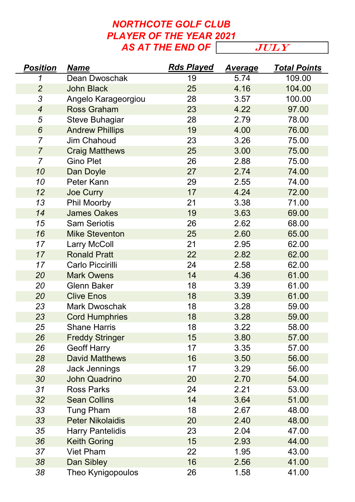## NORTHCOTE GOLF CLUB PLAYER OF THE YEAR 2021 AS AT THE END OF  $\sqrt{JULY}$

| <b>Position</b> | <b>Name</b>             | <b>Rds Played</b> | <u>Average</u> | <b>Total Points</b> |
|-----------------|-------------------------|-------------------|----------------|---------------------|
| 1               | <b>Dean Dwoschak</b>    | 19                | 5.74           | 109.00              |
| $\overline{2}$  | <b>John Black</b>       | 25                | 4.16           | 104.00              |
| 3               | Angelo Karageorgiou     | 28                | 3.57           | 100.00              |
| $\overline{4}$  | <b>Ross Graham</b>      | 23                | 4.22           | 97.00               |
| 5               | <b>Steve Buhagiar</b>   | 28                | 2.79           | 78.00               |
| $6\phantom{1}6$ | <b>Andrew Phillips</b>  | 19                | 4.00           | 76.00               |
| $\overline{7}$  | <b>Jim Chahoud</b>      | 23                | 3.26           | 75.00               |
| $\overline{7}$  | <b>Craig Matthews</b>   | 25                | 3.00           | 75.00               |
| $\overline{7}$  | <b>Gino Plet</b>        | 26                | 2.88           | 75.00               |
| 10              | Dan Doyle               | 27                | 2.74           | 74.00               |
| 10              | Peter Kann              | 29                | 2.55           | 74.00               |
| 12              | <b>Joe Curry</b>        | 17                | 4.24           | 72.00               |
| 13              | <b>Phil Moorby</b>      | 21                | 3.38           | 71.00               |
| 14              | <b>James Oakes</b>      | 19                | 3.63           | 69.00               |
| 15              | <b>Sam Seriotis</b>     | 26                | 2.62           | 68.00               |
| 16              | <b>Mike Steventon</b>   | 25                | 2.60           | 65.00               |
| 17              | <b>Larry McColl</b>     | 21                | 2.95           | 62.00               |
| 17              | <b>Ronald Pratt</b>     | 22                | 2.82           | 62.00               |
| 17              | Carlo Piccirilli        | 24                | 2.58           | 62.00               |
| 20              | <b>Mark Owens</b>       | 14                | 4.36           | 61.00               |
| 20              | <b>Glenn Baker</b>      | 18                | 3.39           | 61.00               |
| 20              | <b>Clive Enos</b>       | 18                | 3.39           | 61.00               |
| 23              | <b>Mark Dwoschak</b>    | 18                | 3.28           | 59.00               |
| 23              | <b>Cord Humphries</b>   | 18                | 3.28           | 59.00               |
| 25              | <b>Shane Harris</b>     | 18                | 3.22           | 58.00               |
| 26              | <b>Freddy Stringer</b>  | 15                | 3.80           | 57.00               |
| 26              | <b>Geoff Harry</b>      | 17                | 3.35           | 57.00               |
| 28              | <b>David Matthews</b>   | 16                | 3.50           | 56.00               |
| 28              | <b>Jack Jennings</b>    | 17                | 3.29           | 56.00               |
| 30              | <b>John Quadrino</b>    | 20                | 2.70           | 54.00               |
| 31              | <b>Ross Parks</b>       | 24                | 2.21           | 53.00               |
| 32              | <b>Sean Collins</b>     | 14                | 3.64           | 51.00               |
| 33              | <b>Tung Pham</b>        | 18                | 2.67           | 48.00               |
| 33              | <b>Peter Nikolaidis</b> | 20                | 2.40           | 48.00               |
| 35              | <b>Harry Pantelidis</b> | 23                | 2.04           | 47.00               |
| 36              | <b>Keith Goring</b>     | 15                | 2.93           | 44.00               |
| 37              | <b>Viet Pham</b>        | 22                | 1.95           | 43.00               |
| 38              | Dan Sibley              | 16                | 2.56           | 41.00               |
| 38              | Theo Kynigopoulos       | 26                | 1.58           | 41.00               |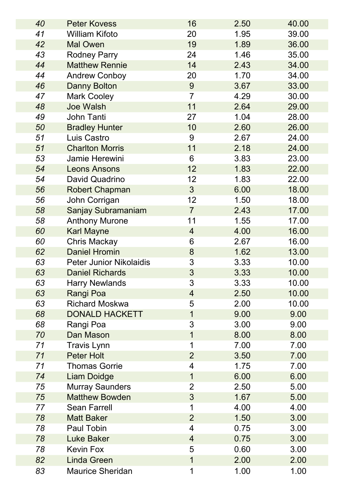| 40 | <b>Peter Kovess</b>            | 16             | 2.50 | 40.00 |
|----|--------------------------------|----------------|------|-------|
| 41 | <b>William Kifoto</b>          | 20             | 1.95 | 39.00 |
| 42 | <b>Mal Owen</b>                | 19             | 1.89 | 36.00 |
| 43 | <b>Rodney Parry</b>            | 24             | 1.46 | 35.00 |
| 44 | <b>Matthew Rennie</b>          | 14             | 2.43 | 34.00 |
| 44 | <b>Andrew Conboy</b>           | 20             | 1.70 | 34.00 |
| 46 | <b>Danny Bolton</b>            | 9              | 3.67 | 33.00 |
| 47 | <b>Mark Cooley</b>             | $\overline{7}$ | 4.29 | 30.00 |
| 48 | <b>Joe Walsh</b>               | 11             | 2.64 | 29.00 |
| 49 | John Tanti                     | 27             | 1.04 | 28.00 |
| 50 | <b>Bradley Hunter</b>          | 10             | 2.60 | 26.00 |
| 51 | Luis Castro                    | 9              | 2.67 | 24.00 |
| 51 | <b>Charlton Morris</b>         | 11             | 2.18 | 24.00 |
| 53 | Jamie Herewini                 | 6              | 3.83 | 23.00 |
| 54 | <b>Leons Ansons</b>            | 12             | 1.83 | 22.00 |
| 54 | David Quadrino                 | 12             | 1.83 | 22.00 |
| 56 | <b>Robert Chapman</b>          | $\mathfrak{S}$ | 6.00 | 18.00 |
| 56 | John Corrigan                  | 12             | 1.50 | 18.00 |
| 58 | <b>Sanjay Subramaniam</b>      | $\overline{7}$ | 2.43 | 17.00 |
| 58 | <b>Anthony Murone</b>          | 11             | 1.55 | 17.00 |
| 60 | <b>Karl Mayne</b>              | $\overline{4}$ | 4.00 | 16.00 |
| 60 | <b>Chris Mackay</b>            | 6              | 2.67 | 16.00 |
| 62 | <b>Daniel Hromin</b>           | $8\phantom{1}$ | 1.62 | 13.00 |
| 63 | <b>Peter Junior Nikolaidis</b> | 3              | 3.33 | 10.00 |
| 63 | <b>Daniel Richards</b>         | 3              | 3.33 | 10.00 |
| 63 | <b>Harry Newlands</b>          | 3              | 3.33 | 10.00 |
| 63 | Rangi Poa                      | $\overline{4}$ | 2.50 | 10.00 |
| 63 | <b>Richard Moskwa</b>          | 5              | 2.00 | 10.00 |
| 68 | <b>DONALD HACKETT</b>          | 1              | 9.00 | 9.00  |
| 68 | Rangi Poa                      | 3              | 3.00 | 9.00  |
| 70 | Dan Mason                      | $\mathbf 1$    | 8.00 | 8.00  |
| 71 | <b>Travis Lynn</b>             | 1              | 7.00 | 7.00  |
| 71 | <b>Peter Holt</b>              | $\overline{2}$ | 3.50 | 7.00  |
| 71 | <b>Thomas Gorrie</b>           | 4              | 1.75 | 7.00  |
| 74 | <b>Liam Doidge</b>             | 1              | 6.00 | 6.00  |
| 75 | <b>Murray Saunders</b>         | $\overline{2}$ | 2.50 | 5.00  |
| 75 | <b>Matthew Bowden</b>          | 3              | 1.67 | 5.00  |
| 77 | <b>Sean Farrell</b>            | 1              | 4.00 | 4.00  |
| 78 | <b>Matt Baker</b>              | $\overline{2}$ | 1.50 | 3.00  |
| 78 | Paul Tobin                     | $\overline{4}$ | 0.75 | 3.00  |
| 78 | <b>Luke Baker</b>              | $\overline{4}$ | 0.75 | 3.00  |
| 78 | <b>Kevin Fox</b>               | 5              | 0.60 | 3.00  |
| 82 | <b>Linda Green</b>             | $\mathbf{1}$   | 2.00 | 2.00  |
| 83 | <b>Maurice Sheridan</b>        | 1              | 1.00 | 1.00  |